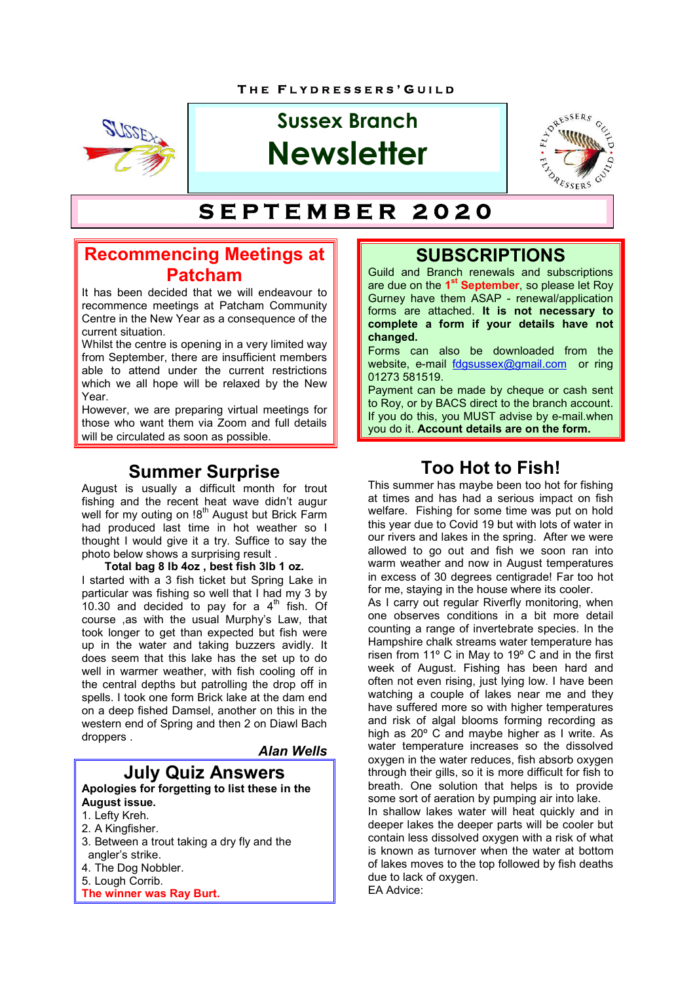

# **Sussex Branch Newsletter**



#### **S E P T E M B E R 2 0 2 0**

### **Recommencing Meetings at Patcham**

It has been decided that we will endeavour to recommence meetings at Patcham Community Centre in the New Year as a consequence of the current situation.

Whilst the centre is opening in a very limited way from September, there are insufficient members able to attend under the current restrictions which we all hope will be relaxed by the New Year.

However, we are preparing virtual meetings for those who want them via Zoom and full details will be circulated as soon as possible.

### **Summer Surprise**

August is usually a difficult month for trout fishing and the recent heat wave didn't augur well for my outing on !8<sup>th</sup> August but Brick Farm had produced last time in hot weather so I thought I would give it a try. Suffice to say the photo below shows a surprising result .

**Total bag 8 lb 4oz , best fish 3lb 1 oz.** I started with a 3 fish ticket but Spring Lake in particular was fishing so well that I had my 3 by 10.30 and decided to pay for a  $4<sup>th</sup>$  fish. Of course ,as with the usual Murphy's Law, that took longer to get than expected but fish were up in the water and taking buzzers avidly. It does seem that this lake has the set up to do well in warmer weather, with fish cooling off in the central depths but patrolling the drop off in spells. I took one form Brick lake at the dam end on a deep fished Damsel, another on this in the western end of Spring and then 2 on Diawl Bach droppers .

#### *Alan Wells*

#### **July Quiz Answers Apologies for forgetting to list these in the August issue.**

- 1. Lefty Kreh.
- 2. A Kingfisher.
- 3. Between a trout taking a dry fly and the angler's strike.
- 4. The Dog Nobbler.
- 5. Lough Corrib.
- **The winner was Ray Burt.**

### **SUBSCRIPTIONS**

Guild and Branch renewals and subscriptions are due on the **1st September**, so please let Roy Gurney have them ASAP - renewal/application forms are attached. **It is not necessary to complete a form if your details have not changed.**

Forms can also be downloaded from the website, e-mail fdgsussex@gmail.com or ring 01273 581519.

Payment can be made by cheque or cash sent to Roy, or by BACS direct to the branch account. If you do this, you MUST advise by e-mail.when you do it. **Account details are on the form.**

# **Too Hot to Fish!**

This summer has maybe been too hot for fishing at times and has had a serious impact on fish welfare. Fishing for some time was put on hold this year due to Covid 19 but with lots of water in our rivers and lakes in the spring. After we were allowed to go out and fish we soon ran into warm weather and now in August temperatures in excess of 30 degrees centigrade! Far too hot for me, staying in the house where its cooler.

As I carry out regular Riverfly monitoring, when one observes conditions in a bit more detail counting a range of invertebrate species. In the Hampshire chalk streams water temperature has risen from 11º C in May to 19º C and in the first week of August. Fishing has been hard and often not even rising, just lying low. I have been watching a couple of lakes near me and they have suffered more so with higher temperatures and risk of algal blooms forming recording as high as 20º C and maybe higher as I write. As water temperature increases so the dissolved oxygen in the water reduces, fish absorb oxygen through their gills, so it is more difficult for fish to breath. One solution that helps is to provide some sort of aeration by pumping air into lake.

In shallow lakes water will heat quickly and in deeper lakes the deeper parts will be cooler but contain less dissolved oxygen with a risk of what is known as turnover when the water at bottom of lakes moves to the top followed by fish deaths due to lack of oxygen. EA Advice: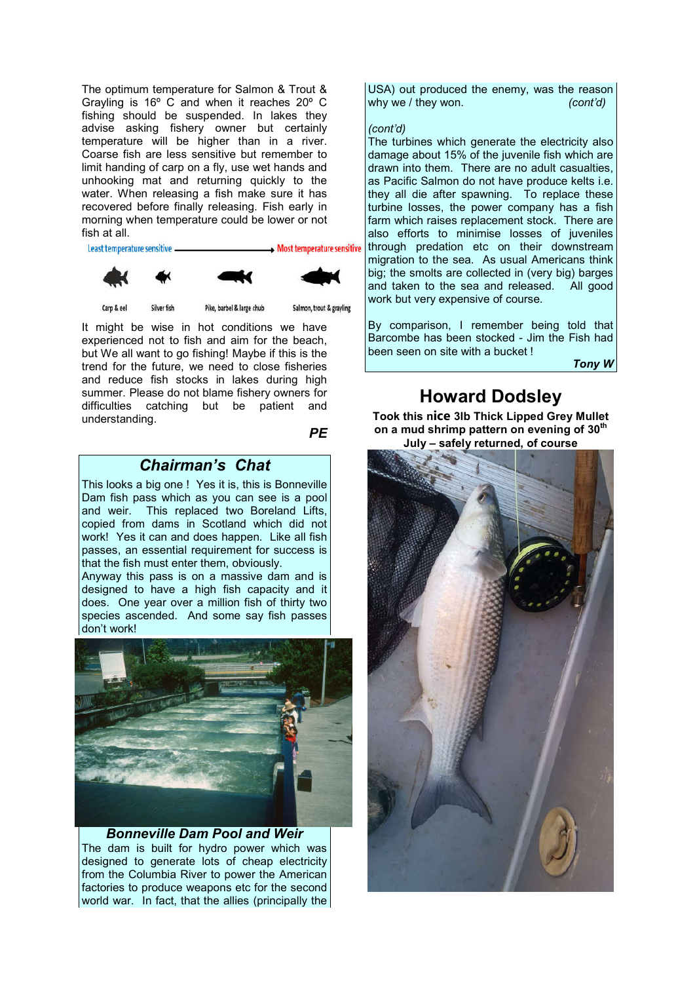The optimum temperature for Salmon & Trout & Grayling is 16º C and when it reaches 20º C fishing should be suspended. In lakes they advise asking fishery owner but certainly temperature will be higher than in a river. Coarse fish are less sensitive but remember to limit handing of carp on a fly, use wet hands and unhooking mat and returning quickly to the water. When releasing a fish make sure it has recovered before finally releasing. Fish early in morning when temperature could be lower or not fish at all.

Least temperature sensitive.



Pike, barbel & large chub

Salmon, trout & gravling

It might be wise in hot conditions we have experienced not to fish and aim for the beach, but We all want to go fishing! Maybe if this is the trend for the future, we need to close fisheries and reduce fish stocks in lakes during high summer. Please do not blame fishery owners for difficulties catching but be patient and understanding.

*PE*

### *Chairman's Chat*

This looks a big one ! Yes it is, this is Bonneville Dam fish pass which as you can see is a pool and weir. This replaced two Boreland Lifts, copied from dams in Scotland which did not work! Yes it can and does happen. Like all fish passes, an essential requirement for success is that the fish must enter them, obviously.

Anyway this pass is on a massive dam and is designed to have a high fish capacity and it does. One year over a million fish of thirty two species ascended. And some say fish passes don't work!



#### *Bonneville Dam Pool and Weir* The dam is built for hydro power which was designed to generate lots of cheap electricity from the Columbia River to power the American factories to produce weapons etc for the second world war. In fact, that the allies (principally the

USA) out produced the enemy, was the reason why we / they won. *(cont'd)* 

#### *(cont'd)*

The turbines which generate the electricity also damage about 15% of the juvenile fish which are drawn into them. There are no adult casualties, as Pacific Salmon do not have produce kelts i.e. they all die after spawning. To replace these turbine losses, the power company has a fish farm which raises replacement stock. There are also efforts to minimise losses of juveniles through predation etc on their downstream migration to the sea. As usual Americans think big; the smolts are collected in (very big) barges and taken to the sea and released. All good work but very expensive of course.

By comparison, I remember being told that Barcombe has been stocked - Jim the Fish had been seen on site with a bucket !

*Tony W*

# **Howard Dodsley**

**Took this nice 3lb Thick Lipped Grey Mullet on a mud shrimp pattern on evening of 30th July – safely returned, of course**

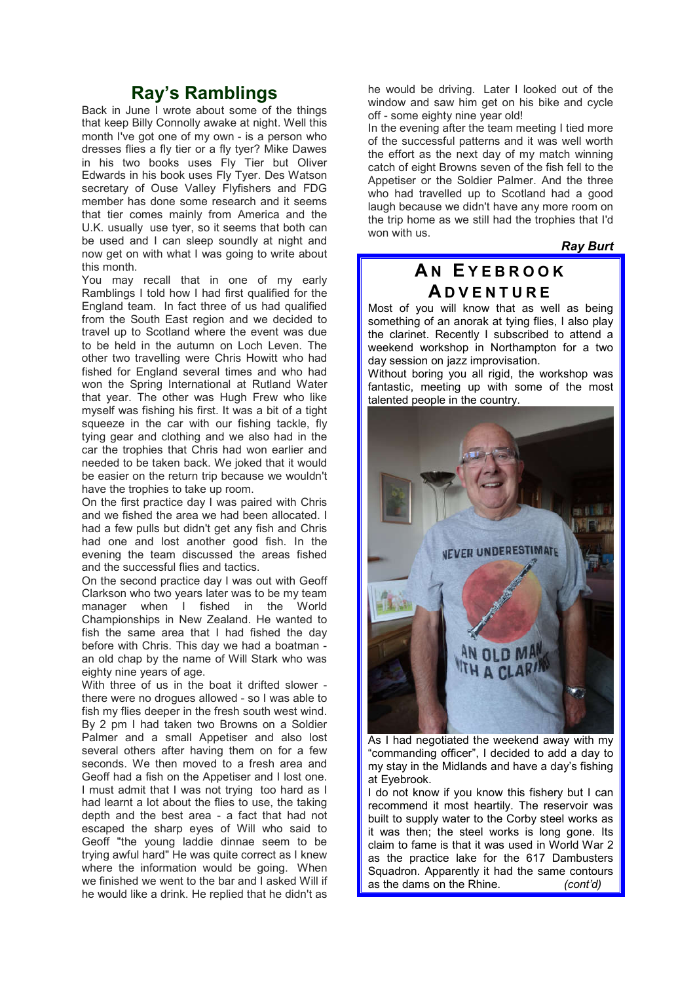### **Ray's Ramblings**

Back in June I wrote about some of the things that keep Billy Connolly awake at night. Well this month I've got one of my own - is a person who dresses flies a fly tier or a fly tyer? Mike Dawes in his two books uses Fly Tier but Oliver Edwards in his book uses Fly Tyer. Des Watson secretary of Ouse Valley Flyfishers and FDG member has done some research and it seems that tier comes mainly from America and the U.K. usually use tyer, so it seems that both can be used and I can sleep soundly at night and now get on with what I was going to write about this month.

You may recall that in one of my early Ramblings I told how I had first qualified for the England team. In fact three of us had qualified from the South East region and we decided to travel up to Scotland where the event was due to be held in the autumn on Loch Leven. The other two travelling were Chris Howitt who had fished for England several times and who had won the Spring International at Rutland Water that year. The other was Hugh Frew who like myself was fishing his first. It was a bit of a tight squeeze in the car with our fishing tackle, fly tying gear and clothing and we also had in the car the trophies that Chris had won earlier and needed to be taken back. We joked that it would be easier on the return trip because we wouldn't have the trophies to take up room.

On the first practice day I was paired with Chris and we fished the area we had been allocated. I had a few pulls but didn't get any fish and Chris had one and lost another good fish. In the evening the team discussed the areas fished and the successful flies and tactics.

On the second practice day I was out with Geoff Clarkson who two years later was to be my team manager when I fished in the World Championships in New Zealand. He wanted to fish the same area that I had fished the day before with Chris. This day we had a boatman an old chap by the name of Will Stark who was eighty nine years of age.

With three of us in the boat it drifted slower there were no drogues allowed - so I was able to fish my flies deeper in the fresh south west wind. By 2 pm I had taken two Browns on a Soldier Palmer and a small Appetiser and also lost several others after having them on for a few seconds. We then moved to a fresh area and Geoff had a fish on the Appetiser and I lost one. I must admit that I was not trying too hard as I had learnt a lot about the flies to use, the taking depth and the best area - a fact that had not escaped the sharp eyes of Will who said to Geoff "the young laddie dinnae seem to be trying awful hard" He was quite correct as I knew where the information would be going. When we finished we went to the bar and I asked Will if he would like a drink. He replied that he didn't as he would be driving. Later I looked out of the window and saw him get on his bike and cycle off - some eighty nine year old!

In the evening after the team meeting I tied more of the successful patterns and it was well worth the effort as the next day of my match winning catch of eight Browns seven of the fish fell to the Appetiser or the Soldier Palmer. And the three who had travelled up to Scotland had a good laugh because we didn't have any more room on the trip home as we still had the trophies that I'd won with us.

*Ray Burt*

## **A N E Y E B R O O K A D V E N T U R E**

Most of you will know that as well as being something of an anorak at tying flies, I also play the clarinet. Recently I subscribed to attend a weekend workshop in Northampton for a two day session on jazz improvisation.

Without boring you all rigid, the workshop was fantastic, meeting up with some of the most talented people in the country.



As I had negotiated the weekend away with my "commanding officer", I decided to add a day to my stay in the Midlands and have a day's fishing at Eyebrook.

I do not know if you know this fishery but I can recommend it most heartily. The reservoir was built to supply water to the Corby steel works as it was then; the steel works is long gone. Its claim to fame is that it was used in World War 2 as the practice lake for the 617 Dambusters Squadron. Apparently it had the same contours as the dams on the Rhine. *(cont'd)*